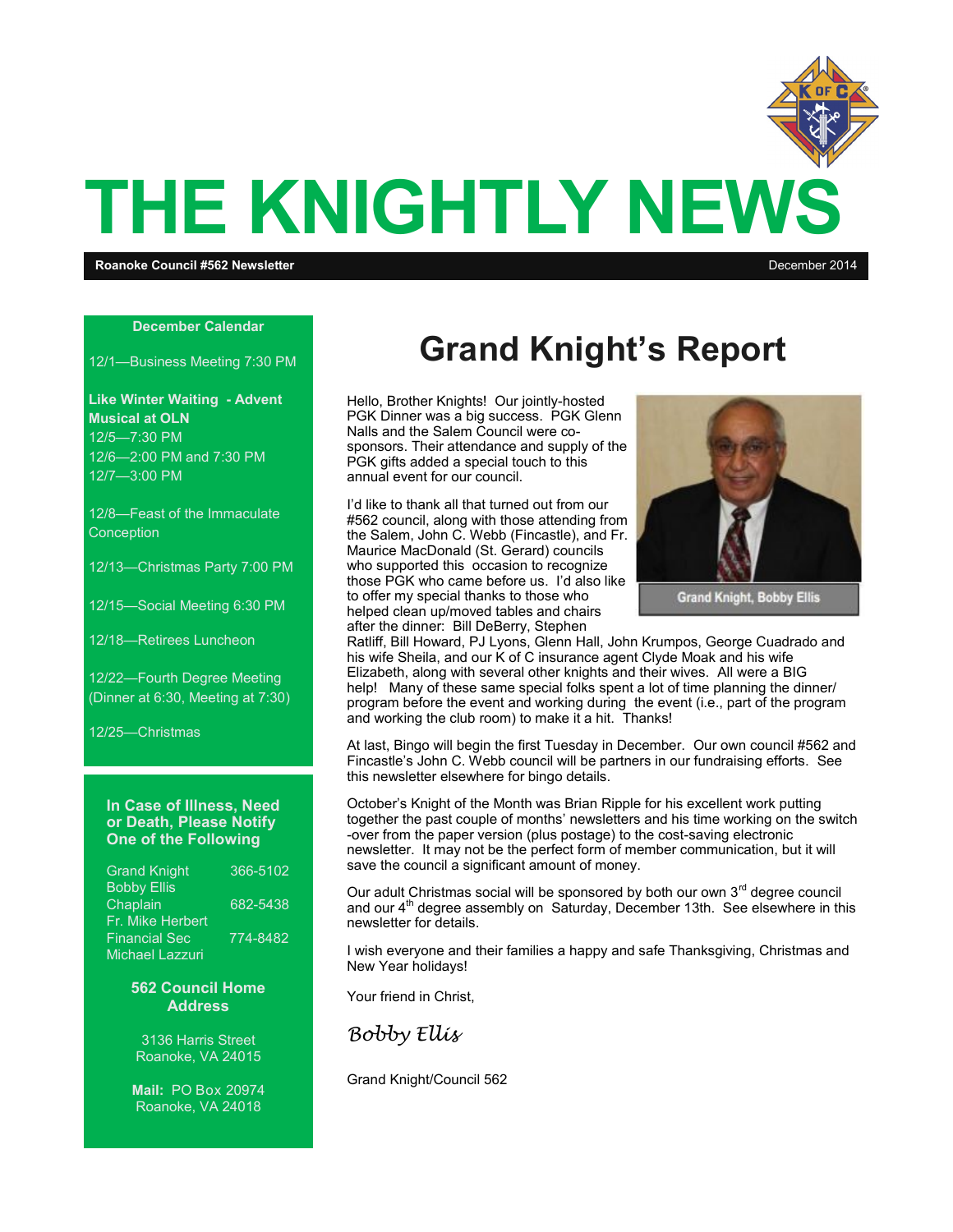

**December Calendar**

12/1—Business Meeting 7:30 PM

**Like Winter Waiting - Advent Musical at OLN** 12/5—7:30 PM 12/6—2:00 PM and 7:30 PM 12/7—3:00 PM

12/8—Feast of the Immaculate **Conception** 

12/13—Christmas Party 7:00 PM

12/15—Social Meeting 6:30 PM

12/18—Retirees Luncheon

12/22—Fourth Degree Meeting (Dinner at 6:30, Meeting at 7:30)

12/25—Christmas

#### **In Case of Illness, Need or Death, Please Notify One of the Following**

| <b>Grand Knight</b>    | 366-5102 |
|------------------------|----------|
| <b>Bobby Ellis</b>     |          |
| Chaplain               | 682-5438 |
| Fr. Mike Herbert       |          |
| <b>Financial Sec</b>   | 774-8482 |
| <b>Michael Lazzuri</b> |          |

#### **562 Council Home Address**

3136 Harris Street Roanoke, VA 24015

**Mail:** PO Box 20974 Roanoke, VA 24018

### **Grand Knight's Report**

Hello, Brother Knights! Our jointly-hosted PGK Dinner was a big success. PGK Glenn Nalls and the Salem Council were cosponsors. Their attendance and supply of the PGK gifts added a special touch to this annual event for our council.

I'd like to thank all that turned out from our #562 council, along with those attending from the Salem, John C. Webb (Fincastle), and Fr. Maurice MacDonald (St. Gerard) councils who supported this occasion to recognize those PGK who came before us. I'd also like to offer my special thanks to those who helped clean up/moved tables and chairs after the dinner: Bill DeBerry, Stephen



**Grand Knight, Bobby Ellis** 

Ratliff, Bill Howard, PJ Lyons, Glenn Hall, John Krumpos, George Cuadrado and his wife Sheila, and our K of C insurance agent Clyde Moak and his wife Elizabeth, along with several other knights and their wives. All were a BIG help! Many of these same special folks spent a lot of time planning the dinner/ program before the event and working during the event (i.e., part of the program and working the club room) to make it a hit. Thanks!

At last, Bingo will begin the first Tuesday in December. Our own council #562 and Fincastle's John C. Webb council will be partners in our fundraising efforts. See this newsletter elsewhere for bingo details.

October's Knight of the Month was Brian Ripple for his excellent work putting together the past couple of months' newsletters and his time working on the switch -over from the paper version (plus postage) to the cost-saving electronic newsletter. It may not be the perfect form of member communication, but it will save the council a significant amount of money.

Our adult Christmas social will be sponsored by both our own  $3<sup>rd</sup>$  degree council and our  $4<sup>th</sup>$  degree assembly on Saturday, December 13th. See elsewhere in this newsletter for details.

I wish everyone and their families a happy and safe Thanksgiving, Christmas and New Year holidays!

Your friend in Christ,

*Bobby Ellis*

Grand Knight/Council 562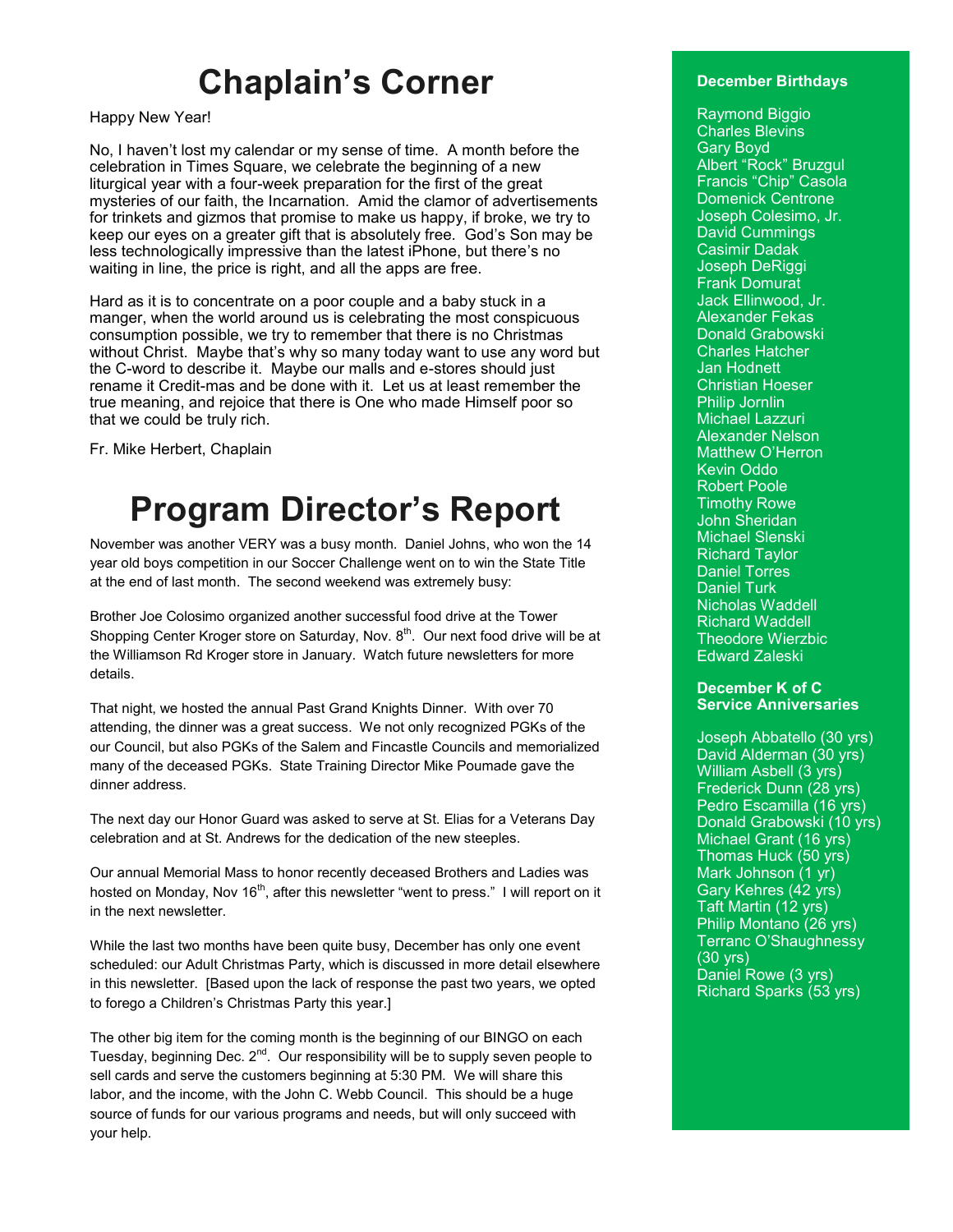### **Chaplain's Corner**

Happy New Year!

No, I haven't lost my calendar or my sense of time. A month before the celebration in Times Square, we celebrate the beginning of a new liturgical year with a four-week preparation for the first of the great mysteries of our faith, the Incarnation. Amid the clamor of advertisements for trinkets and gizmos that promise to make us happy, if broke, we try to keep our eyes on a greater gift that is absolutely free. God's Son may be less technologically impressive than the latest iPhone, but there's no waiting in line, the price is right, and all the apps are free.

Hard as it is to concentrate on a poor couple and a baby stuck in a manger, when the world around us is celebrating the most conspicuous consumption possible, we try to remember that there is no Christmas without Christ. Maybe that's why so many today want to use any word but the C-word to describe it. Maybe our malls and e-stores should just rename it Credit-mas and be done with it. Let us at least remember the true meaning, and rejoice that there is One who made Himself poor so that we could be truly rich.

Fr. Mike Herbert, Chaplain

## **Program Director's Report**

November was another VERY was a busy month. Daniel Johns, who won the 14 year old boys competition in our Soccer Challenge went on to win the State Title at the end of last month. The second weekend was extremely busy:

Brother Joe Colosimo organized another successful food drive at the Tower Shopping Center Kroger store on Saturday, Nov. 8<sup>th</sup>. Our next food drive will be at the Williamson Rd Kroger store in January. Watch future newsletters for more details.

That night, we hosted the annual Past Grand Knights Dinner. With over 70 attending, the dinner was a great success. We not only recognized PGKs of the our Council, but also PGKs of the Salem and Fincastle Councils and memorialized many of the deceased PGKs. State Training Director Mike Poumade gave the dinner address.

The next day our Honor Guard was asked to serve at St. Elias for a Veterans Day celebration and at St. Andrews for the dedication of the new steeples.

Our annual Memorial Mass to honor recently deceased Brothers and Ladies was hosted on Monday, Nov 16<sup>th</sup>, after this newsletter "went to press." I will report on it in the next newsletter.

While the last two months have been quite busy, December has only one event scheduled: our Adult Christmas Party, which is discussed in more detail elsewhere in this newsletter. [Based upon the lack of response the past two years, we opted to forego a Children's Christmas Party this year.]

The other big item for the coming month is the beginning of our BINGO on each Tuesday, beginning Dec. 2<sup>nd</sup>. Our responsibility will be to supply seven people to sell cards and serve the customers beginning at 5:30 PM. We will share this labor, and the income, with the John C. Webb Council. This should be a huge source of funds for our various programs and needs, but will only succeed with your help.

### **December Birthdays**

Raymond Biggio Charles Blevins Gary Boyd Albert "Rock" Bruzgul Francis "Chip" Casola Domenick Centrone Joseph Colesimo, Jr. David Cummings Casimir Dadak Joseph DeRiggi Frank Domurat Jack Ellinwood, Jr. Alexander Fekas Donald Grabowski Charles Hatcher Jan Hodnett Christian Hoeser Philip Jornlin Michael Lazzuri Alexander Nelson Matthew O'Herron Kevin Oddo Robert Poole Timothy Rowe John Sheridan Michael Slenski Richard Taylor Daniel Torres Daniel Turk Nicholas Waddell Richard Waddell Theodore Wierzbic Edward Zaleski

### **December K of C Service Anniversaries**

Joseph Abbatello (30 yrs) David Alderman (30 yrs) William Asbell (3 yrs) Frederick Dunn (28 yrs) Pedro Escamilla (16 yrs) Donald Grabowski (10 yrs) Michael Grant (16 yrs) Thomas Huck (50 yrs) Mark Johnson (1 yr) Gary Kehres (42 yrs) Taft Martin (12 yrs) Philip Montano (26 yrs) Terranc O'Shaughnessy (30 yrs) Daniel Rowe (3 yrs) Richard Sparks (53 yrs)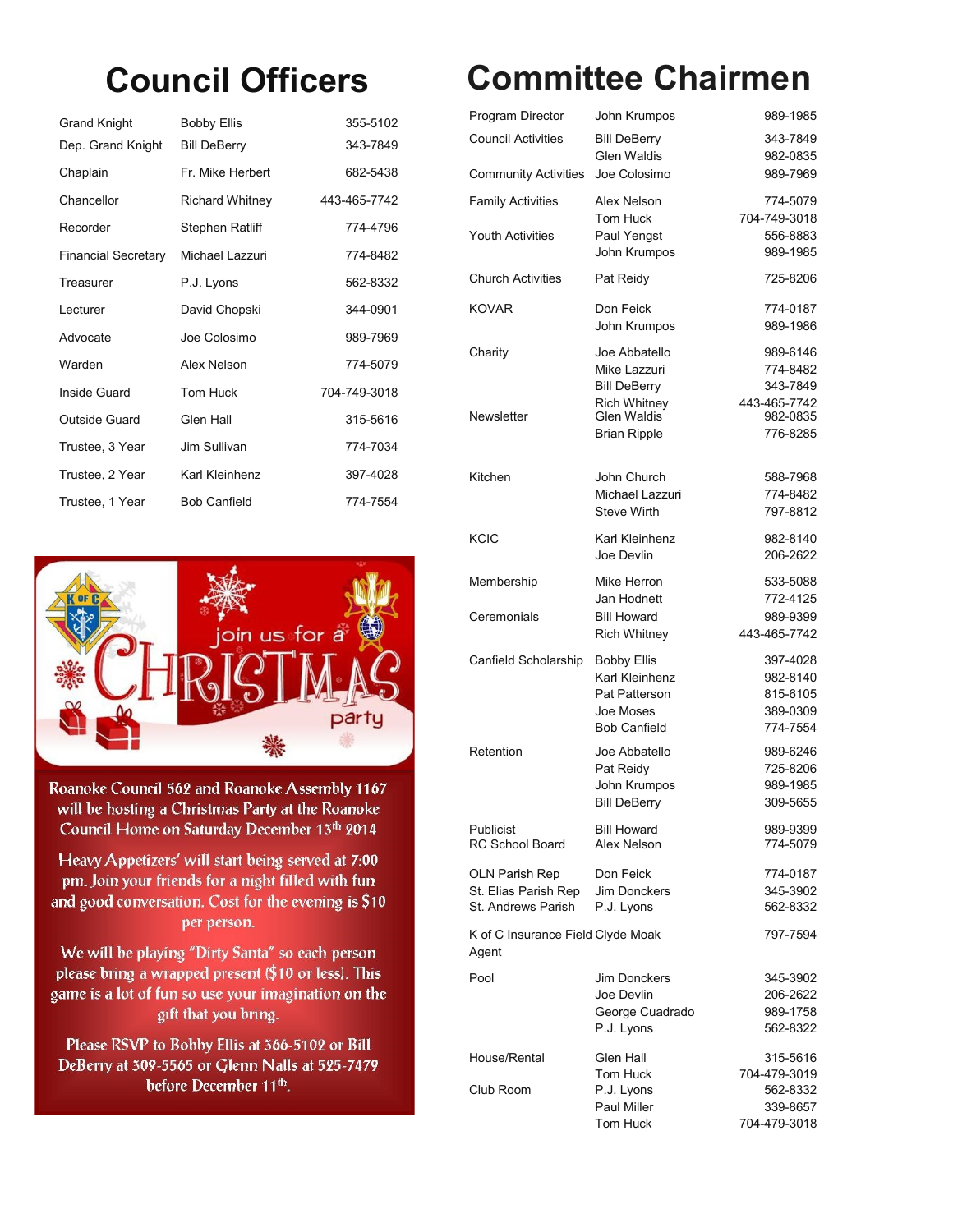| Grand Knight               | <b>Bobby Ellis</b>     | 355-5102     |
|----------------------------|------------------------|--------------|
| Dep. Grand Knight          | <b>Bill DeBerry</b>    | 343-7849     |
| Chaplain                   | Fr. Mike Herbert       | 682-5438     |
| Chancellor                 | <b>Richard Whitney</b> | 443-465-7742 |
| Recorder                   | Stephen Ratliff        | 774-4796     |
| <b>Financial Secretary</b> | Michael Lazzuri        | 774-8482     |
| Treasurer                  | P.J. Lyons             | 562-8332     |
| Lecturer                   | David Chopski          | 344-0901     |
| Advocate                   | Joe Colosimo           | 989-7969     |
| Warden                     | Alex Nelson            | 774-5079     |
| Inside Guard               | Tom Huck               | 704-749-3018 |
| Outside Guard              | Glen Hall              | 315-5616     |
| Trustee, 3 Year            | Jim Sullivan           | 774-7034     |
| Trustee, 2 Year            | Karl Kleinhenz         | 397-4028     |
| Trustee, 1 Year            | <b>Bob Canfield</b>    | 774-7554     |



Roanoke Council 562 and Roanoke Assembly 1167 will be hosting a Christmas Party at the Roanoke Council Home on Saturday December 13th 2014

Heavy Appetizers' will start being served at 7:00 pm. Join your friends for a night filled with fun and good conversation. Cost for the evening is \$10 per person.

We will be playing "Dirty Santa" so each person please bring a wrapped present (\$10 or less). This game is a lot of fun so use your imagination on the gift that you bring.

Please RSVP to Bobby Ellis at 366-5102 or Bill DeBerry at 309-5565 or Glenn Nalls at 525-7479 before December 11<sup>th</sup>.

# **Council Officers Committee Chairmen**

| Program Director                                                    | John Krumpos                                                                              | 989-1985                                                 |
|---------------------------------------------------------------------|-------------------------------------------------------------------------------------------|----------------------------------------------------------|
| <b>Council Activities</b>                                           | <b>Bill DeBerry</b><br>Glen Waldis                                                        | 343-7849<br>982-0835                                     |
| <b>Community Activities</b>                                         | Joe Colosimo                                                                              | 989-7969                                                 |
| <b>Family Activities</b><br><b>Youth Activities</b>                 | Alex Nelson<br>Tom Huck<br>Paul Yengst<br>John Krumpos                                    | 774-5079<br>704-749-3018<br>556-8883<br>989-1985         |
| <b>Church Activities</b>                                            | Pat Reidy                                                                                 | 725-8206                                                 |
| <b>KOVAR</b>                                                        | Don Feick<br>John Krumpos                                                                 | 774-0187<br>989-1986                                     |
| Charity                                                             | Joe Abbatello<br>Mike Lazzuri<br><b>Bill DeBerry</b>                                      | 989-6146<br>774-8482<br>343-7849                         |
| Newsletter                                                          | <b>Rich Whitney</b><br><b>Glen Waldis</b><br><b>Brian Ripple</b>                          | 443-465-7742<br>982-0835<br>776-8285                     |
| Kitchen                                                             | John Church<br>Michael Lazzuri<br><b>Steve Wirth</b>                                      | 588-7968<br>774-8482<br>797-8812                         |
| KCIC                                                                | Karl Kleinhenz<br>Joe Devlin                                                              | 982-8140<br>206-2622                                     |
| Membership                                                          | Mike Herron                                                                               | 533-5088                                                 |
| Ceremonials                                                         | Jan Hodnett<br><b>Bill Howard</b><br><b>Rich Whitney</b>                                  | 772-4125<br>989-9399<br>443-465-7742                     |
| Canfield Scholarship                                                | <b>Bobby Ellis</b><br>Karl Kleinhenz<br>Pat Patterson<br>Joe Moses<br><b>Bob Canfield</b> | 397-4028<br>982-8140<br>815-6105<br>389-0309<br>774-7554 |
| Retention                                                           | Joe Abbatello<br>Pat Reidy<br>John Krumpos<br><b>Bill DeBerry</b>                         | 989-6246<br>725-8206<br>989-1985<br>309-5655             |
| Publicist<br><b>RC School Board</b>                                 | <b>Bill Howard</b><br>Alex Nelson                                                         | 989-9399<br>774-5079                                     |
| <b>OLN Parish Rep</b><br>St. Elias Parish Rep<br>St. Andrews Parish | Don Feick<br>Jim Donckers<br>P.J. Lyons                                                   | 774-0187<br>345-3902<br>562-8332                         |
| K of C Insurance Field Clyde Moak<br>Agent                          |                                                                                           | 797-7594                                                 |
| Pool                                                                | Jim Donckers<br>Joe Devlin<br>George Cuadrado<br>P.J. Lyons                               | 345-3902<br>206-2622<br>989-1758<br>562-8322             |
| House/Rental                                                        | Glen Hall                                                                                 | 315-5616                                                 |
| Club Room                                                           | Tom Huck<br>P.J. Lyons<br>Paul Miller<br>Tom Huck                                         | 704-479-3019<br>562-8332<br>339-8657<br>704-479-3018     |